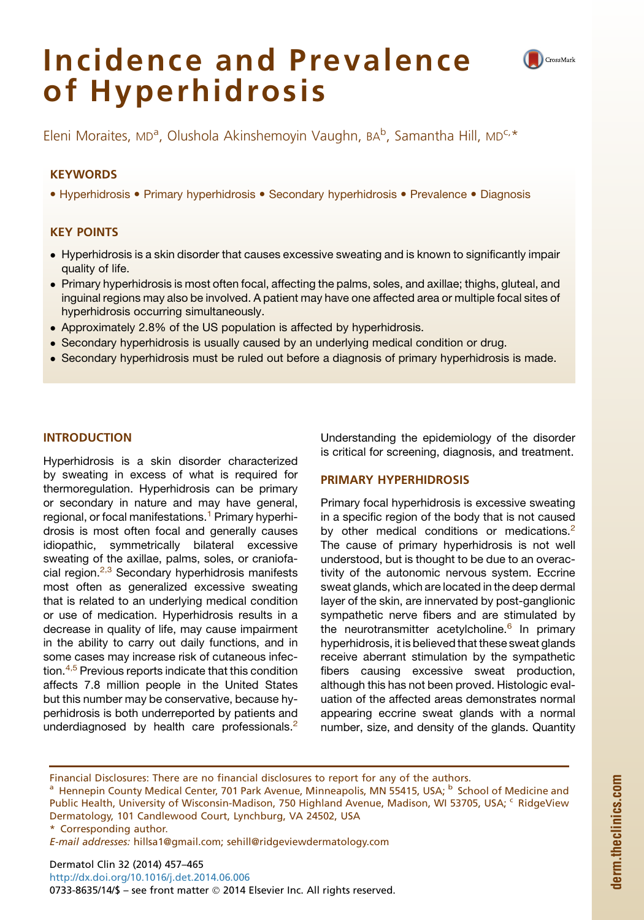# Incidence and Prevalence of Hyperhidrosis



Eleni Moraites, MD°, Olushola Akinshemoyin Vaughn, BA°, Samantha Hill, MD°<sup>. .</sup><br>.

# **KEYWORDS**

• Hyperhidrosis • Primary hyperhidrosis • Secondary hyperhidrosis • Prevalence • Diagnosis

# KEY POINTS

- Hyperhidrosis is a skin disorder that causes excessive sweating and is known to significantly impair quality of life.
- Primary hyperhidrosis is most often focal, affecting the palms, soles, and axillae; thighs, gluteal, and inguinal regions may also be involved. A patient may have one affected area or multiple focal sites of hyperhidrosis occurring simultaneously.
- Approximately 2.8% of the US population is affected by hyperhidrosis.
- Secondary hyperhidrosis is usually caused by an underlying medical condition or drug.
- Secondary hyperhidrosis must be ruled out before a diagnosis of primary hyperhidrosis is made.

# INTRODUCTION

Hyperhidrosis is a skin disorder characterized by sweating in excess of what is required for thermoregulation. Hyperhidrosis can be primary or secondary in nature and may have general, regional, or focal manifestations.<sup>[1](#page-6-0)</sup> Primary hyperhidrosis is most often focal and generally causes idiopathic, symmetrically bilateral excessive sweating of the axillae, palms, soles, or craniofa-cial region.<sup>[2,3](#page-7-0)</sup> Secondary hyperhidrosis manifests most often as generalized excessive sweating that is related to an underlying medical condition or use of medication. Hyperhidrosis results in a decrease in quality of life, may cause impairment in the ability to carry out daily functions, and in some cases may increase risk of cutaneous infec-tion.<sup>[4,5](#page-7-0)</sup> Previous reports indicate that this condition affects 7.8 million people in the United States but this number may be conservative, because hyperhidrosis is both underreported by patients and underdiagnosed by health care professionals. $2$ 

Understanding the epidemiology of the disorder is critical for screening, diagnosis, and treatment.

# PRIMARY HYPERHIDROSIS

Primary focal hyperhidrosis is excessive sweating in a specific region of the body that is not caused by other medical conditions or medications.<sup>[2](#page-7-0)</sup> The cause of primary hyperhidrosis is not well understood, but is thought to be due to an overactivity of the autonomic nervous system. Eccrine sweat glands, which are located in the deep dermal layer of the skin, are innervated by post-ganglionic sympathetic nerve fibers and are stimulated by the neurotransmitter acetylcholine.<sup>[6](#page-7-0)</sup> In primary hyperhidrosis, it is believed that these sweat glands receive aberrant stimulation by the sympathetic fibers causing excessive sweat production, although this has not been proved. Histologic evaluation of the affected areas demonstrates normal appearing eccrine sweat glands with a normal number, size, and density of the glands. Quantity

Financial Disclosures: There are no financial disclosures to report for any of the authors.

<sup>a</sup> Hennepin County Medical Center, 701 Park Avenue, Minneapolis, MN 55415, USA; <sup>b</sup> School of Medicine and Public Health, University of Wisconsin-Madison, 750 Highland Avenue, Madison, WI 53705, USA; <sup>c</sup> RidgeView Dermatology, 101 Candlewood Court, Lynchburg, VA 24502, USA

\* Corresponding author.

E-mail addresses: [hillsa1@gmail.com;](mailto:hillsa1@gmail.com) [sehill@ridgeviewdermatology.com](mailto:sehill@ridgeviewdermatology.com)

Dermatol Clin 32 (2014) 457–465 <http://dx.doi.org/10.1016/j.det.2014.06.006> 0733-8635/14/\$ - see front matter © 2014 Elsevier Inc. All rights reserved.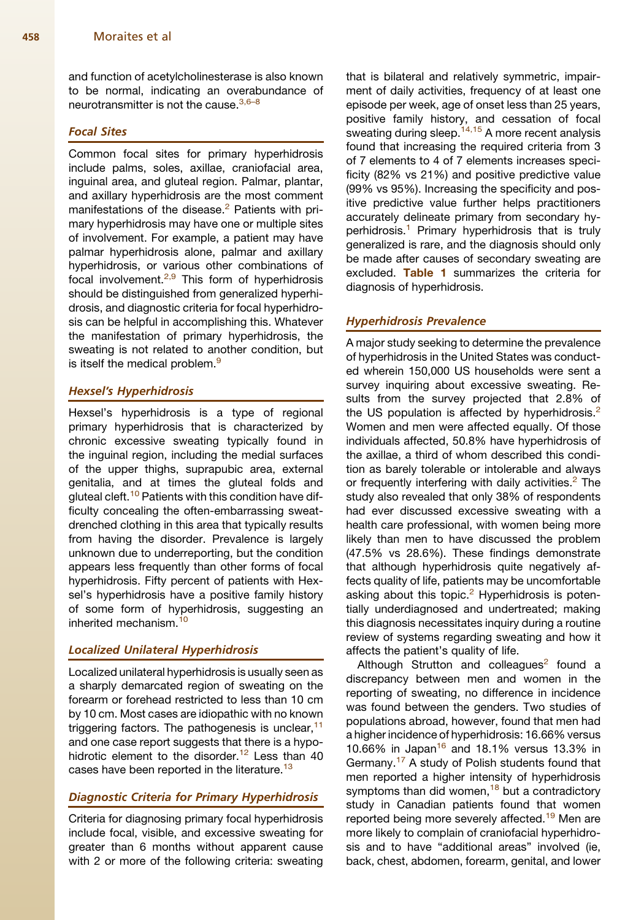and function of acetylcholinesterase is also known to be normal, indicating an overabundance of neurotransmitter is not the cause.<sup>[3,6–8](#page-7-0)</sup>

# Focal Sites

Common focal sites for primary hyperhidrosis include palms, soles, axillae, craniofacial area, inguinal area, and gluteal region. Palmar, plantar, and axillary hyperhidrosis are the most comment manifestations of the disease.<sup>[2](#page-7-0)</sup> Patients with primary hyperhidrosis may have one or multiple sites of involvement. For example, a patient may have palmar hyperhidrosis alone, palmar and axillary hyperhidrosis, or various other combinations of focal involvement.<sup>[2,9](#page-7-0)</sup> This form of hyperhidrosis should be distinguished from generalized hyperhidrosis, and diagnostic criteria for focal hyperhidrosis can be helpful in accomplishing this. Whatever the manifestation of primary hyperhidrosis, the sweating is not related to another condition, but is itself the medical problem.<sup>[9](#page-7-0)</sup>

# Hexsel's Hyperhidrosis

Hexsel's hyperhidrosis is a type of regional primary hyperhidrosis that is characterized by chronic excessive sweating typically found in the inguinal region, including the medial surfaces of the upper thighs, suprapubic area, external genitalia, and at times the gluteal folds and gluteal cleft.<sup>[10](#page-7-0)</sup> Patients with this condition have difficulty concealing the often-embarrassing sweatdrenched clothing in this area that typically results from having the disorder. Prevalence is largely unknown due to underreporting, but the condition appears less frequently than other forms of focal hyperhidrosis. Fifty percent of patients with Hexsel's hyperhidrosis have a positive family history of some form of hyperhidrosis, suggesting an inherited mechanism.<sup>[10](#page-7-0)</sup>

# Localized Unilateral Hyperhidrosis

Localized unilateral hyperhidrosis is usually seen as a sharply demarcated region of sweating on the forearm or forehead restricted to less than 10 cm by 10 cm. Most cases are idiopathic with no known triggering factors. The pathogenesis is unclear,  $11$ and one case report suggests that there is a hypohidrotic element to the disorder.<sup>12</sup> Less than 40 cases have been reported in the literature.<sup>[13](#page-7-0)</sup>

# Diagnostic Criteria for Primary Hyperhidrosis

Criteria for diagnosing primary focal hyperhidrosis include focal, visible, and excessive sweating for greater than 6 months without apparent cause with 2 or more of the following criteria: sweating that is bilateral and relatively symmetric, impairment of daily activities, frequency of at least one episode per week, age of onset less than 25 years, positive family history, and cessation of focal sweating during sleep.  $14,15$  A more recent analysis found that increasing the required criteria from 3 of 7 elements to 4 of 7 elements increases specificity (82% vs 21%) and positive predictive value (99% vs 95%). Increasing the specificity and positive predictive value further helps practitioners accurately delineate primary from secondary hy-perhidrosis.<sup>[1](#page-6-0)</sup> Primary hyperhidrosis that is truly generalized is rare, and the diagnosis should only be made after causes of secondary sweating are excluded. [Table 1](#page-2-0) summarizes the criteria for diagnosis of hyperhidrosis.

## Hyperhidrosis Prevalence

A major study seeking to determine the prevalence of hyperhidrosis in the United States was conducted wherein 150,000 US households were sent a survey inquiring about excessive sweating. Results from the survey projected that 2.8% of the US population is affected by hyperhidrosis.<sup>[2](#page-7-0)</sup> Women and men were affected equally. Of those individuals affected, 50.8% have hyperhidrosis of the axillae, a third of whom described this condition as barely tolerable or intolerable and always or frequently interfering with daily activities. $<sup>2</sup>$  $<sup>2</sup>$  $<sup>2</sup>$  The</sup> study also revealed that only 38% of respondents had ever discussed excessive sweating with a health care professional, with women being more likely than men to have discussed the problem (47.5% vs 28.6%). These findings demonstrate that although hyperhidrosis quite negatively affects quality of life, patients may be uncomfortable asking about this topic. $2$  Hyperhidrosis is potentially underdiagnosed and undertreated; making this diagnosis necessitates inquiry during a routine review of systems regarding sweating and how it affects the patient's quality of life.

Although Strutton and colleagues $2$  found a discrepancy between men and women in the reporting of sweating, no difference in incidence was found between the genders. Two studies of populations abroad, however, found that men had a higher incidence of hyperhidrosis: 16.66% versus 10.66% in Japan<sup>[16](#page-7-0)</sup> and 18.1% versus 13.3% in Germany.[17](#page-7-0) A study of Polish students found that men reported a higher intensity of hyperhidrosis symptoms than did women,<sup>[18](#page-7-0)</sup> but a contradictory study in Canadian patients found that women reported being more severely affected.<sup>[19](#page-7-0)</sup> Men are more likely to complain of craniofacial hyperhidrosis and to have "additional areas" involved (ie, back, chest, abdomen, forearm, genital, and lower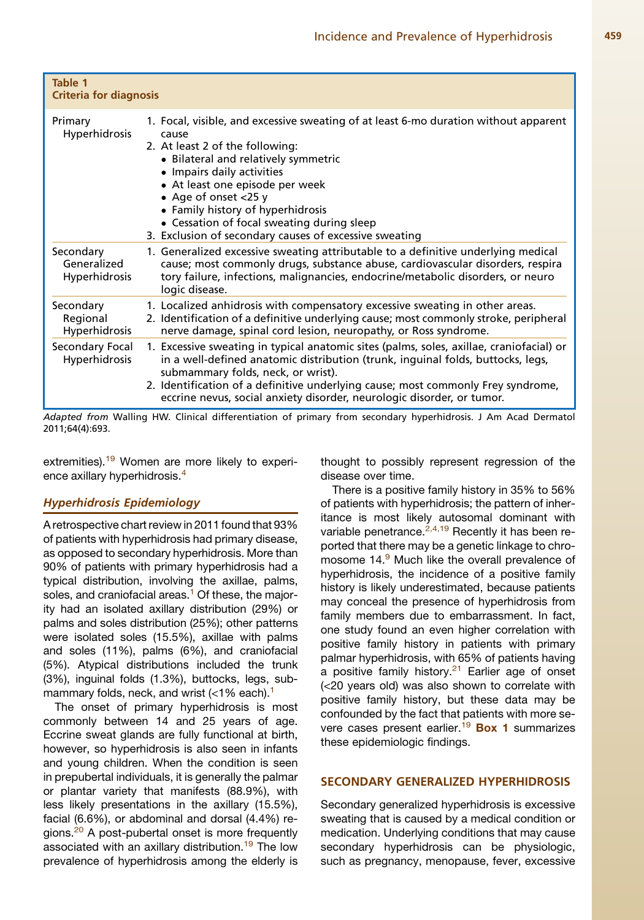<span id="page-2-0"></span>

| Table 1<br>Criteria for diagnosis                |                                                                                                                                                                                                                                                                                                                                                                                                                                                                                                                     |  |
|--------------------------------------------------|---------------------------------------------------------------------------------------------------------------------------------------------------------------------------------------------------------------------------------------------------------------------------------------------------------------------------------------------------------------------------------------------------------------------------------------------------------------------------------------------------------------------|--|
| Primary<br><b>Hyperhidrosis</b>                  | 1. Focal, visible, and excessive sweating of at least 6-mo duration without apparent<br>cause<br>2. At least 2 of the following:<br>• Bilateral and relatively symmetric<br>• Impairs daily activities<br>• At least one episode per week<br>• Age of onset $<$ 25 y<br>• Family history of hyperhidrosis<br>• Cessation of focal sweating during sleep<br>3. Exclusion of secondary causes of excessive sweating                                                                                                   |  |
| Secondary<br>Generalized<br><b>Hyperhidrosis</b> | 1. Generalized excessive sweating attributable to a definitive underlying medical<br>cause; most commonly drugs, substance abuse, cardiovascular disorders, respira<br>tory failure, infections, malignancies, endocrine/metabolic disorders, or neuro<br>logic disease.<br>1. Localized anhidrosis with compensatory excessive sweating in other areas.<br>2. Identification of a definitive underlying cause; most commonly stroke, peripheral<br>nerve damage, spinal cord lesion, neuropathy, or Ross syndrome. |  |
| Secondary<br>Regional<br><b>Hyperhidrosis</b>    |                                                                                                                                                                                                                                                                                                                                                                                                                                                                                                                     |  |
| Secondary Focal<br><b>Hyperhidrosis</b>          | 1. Excessive sweating in typical anatomic sites (palms, soles, axillae, craniofacial) or<br>in a well-defined anatomic distribution (trunk, inguinal folds, buttocks, legs,<br>submammary folds, neck, or wrist).<br>2. Identification of a definitive underlying cause; most commonly Frey syndrome,<br>eccrine nevus, social anxiety disorder, neurologic disorder, or tumor.                                                                                                                                     |  |

Adapted from Walling HW. Clinical differentiation of primary from secondary hyperhidrosis. J Am Acad Dermatol 2011;64(4):693.

extremities).<sup>[19](#page-7-0)</sup> Women are more likely to experi-ence axillary hyperhidrosis.<sup>[4](#page-7-0)</sup>

### Hyperhidrosis Epidemiology

A retrospective chart review in 2011 found that 93% of patients with hyperhidrosis had primary disease, as opposed to secondary hyperhidrosis. More than 90% of patients with primary hyperhidrosis had a typical distribution, involving the axillae, palms, soles, and craniofacial areas.<sup>[1](#page-6-0)</sup> Of these, the majority had an isolated axillary distribution (29%) or palms and soles distribution (25%); other patterns were isolated soles (15.5%), axillae with palms and soles (11%), palms (6%), and craniofacial (5%). Atypical distributions included the trunk (3%), inguinal folds (1.3%), buttocks, legs, submammary folds, neck, and wrist  $\left($  < 1% each).<sup>1</sup>

The onset of primary hyperhidrosis is most commonly between 14 and 25 years of age. Eccrine sweat glands are fully functional at birth, however, so hyperhidrosis is also seen in infants and young children. When the condition is seen in prepubertal individuals, it is generally the palmar or plantar variety that manifests (88.9%), with less likely presentations in the axillary (15.5%), facial (6.6%), or abdominal and dorsal (4.4%) re-gions.<sup>[20](#page-7-0)</sup> A post-pubertal onset is more frequently associated with an axillary distribution.<sup>[19](#page-7-0)</sup> The low prevalence of hyperhidrosis among the elderly is

thought to possibly represent regression of the disease over time.

There is a positive family history in 35% to 56% of patients with hyperhidrosis; the pattern of inheritance is most likely autosomal dominant with variable penetrance. $2,4,19$  Recently it has been reported that there may be a genetic linkage to chromosome 14.<sup>9</sup> Much like the overall prevalence of hyperhidrosis, the incidence of a positive family history is likely underestimated, because patients may conceal the presence of hyperhidrosis from family members due to embarrassment. In fact, one study found an even higher correlation with positive family history in patients with primary palmar hyperhidrosis, with 65% of patients having a positive family history. $2<sup>1</sup>$  Earlier age of onset (<20 years old) was also shown to correlate with positive family history, but these data may be confounded by the fact that patients with more se-vere cases present earlier.<sup>[19](#page-7-0)</sup> [Box 1](#page-3-0) summarizes these epidemiologic findings.

## SECONDARY GENERALIZED HYPERHIDROSIS

Secondary generalized hyperhidrosis is excessive sweating that is caused by a medical condition or medication. Underlying conditions that may cause secondary hyperhidrosis can be physiologic, such as pregnancy, menopause, fever, excessive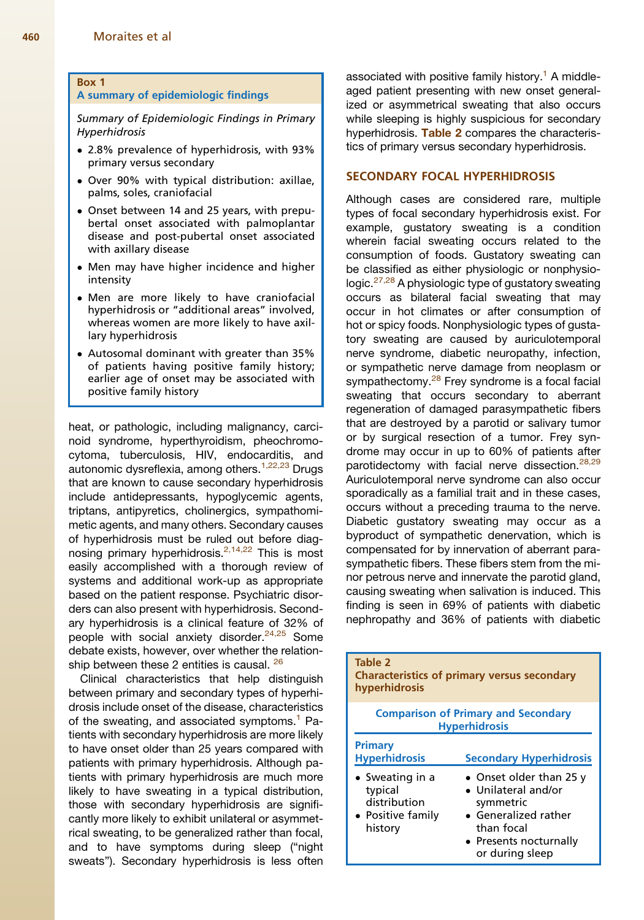#### <span id="page-3-0"></span>Box 1

#### A summary of epidemiologic findings

Summary of Epidemiologic Findings in Primary Hyperhidrosis

- 2.8% prevalence of hyperhidrosis, with 93% primary versus secondary
- Over 90% with typical distribution: axillae, palms, soles, craniofacial
- Onset between 14 and 25 years, with prepubertal onset associated with palmoplantar disease and post-pubertal onset associated with axillary disease
- Men may have higher incidence and higher intensity
- Men are more likely to have craniofacial hyperhidrosis or "additional areas" involved, whereas women are more likely to have axillary hyperhidrosis
- Autosomal dominant with greater than 35% of patients having positive family history; earlier age of onset may be associated with positive family history

heat, or pathologic, including malignancy, carcinoid syndrome, hyperthyroidism, pheochromocytoma, tuberculosis, HIV, endocarditis, and autonomic dysreflexia, among others.<sup>[1,22,23](#page-6-0)</sup> Drugs that are known to cause secondary hyperhidrosis include antidepressants, hypoglycemic agents, triptans, antipyretics, cholinergics, sympathomimetic agents, and many others. Secondary causes of hyperhidrosis must be ruled out before diagnosing primary hyperhidrosis.[2,14,22](#page-7-0) This is most easily accomplished with a thorough review of systems and additional work-up as appropriate based on the patient response. Psychiatric disorders can also present with hyperhidrosis. Secondary hyperhidrosis is a clinical feature of 32% of people with social anxiety disorder.<sup>[24,25](#page-7-0)</sup> Some debate exists, however, over whether the relation-ship between these 2 entities is causal. <sup>[26](#page-7-0)</sup>

Clinical characteristics that help distinguish between primary and secondary types of hyperhidrosis include onset of the disease, characteristics of the sweating, and associated symptoms.<sup>[1](#page-6-0)</sup> Patients with secondary hyperhidrosis are more likely to have onset older than 25 years compared with patients with primary hyperhidrosis. Although patients with primary hyperhidrosis are much more likely to have sweating in a typical distribution, those with secondary hyperhidrosis are significantly more likely to exhibit unilateral or asymmetrical sweating, to be generalized rather than focal, and to have symptoms during sleep ("night sweats"). Secondary hyperhidrosis is less often

associated with positive family history.<sup>[1](#page-6-0)</sup> A middleaged patient presenting with new onset generalized or asymmetrical sweating that also occurs while sleeping is highly suspicious for secondary hyperhidrosis. Table 2 compares the characteristics of primary versus secondary hyperhidrosis.

# SECONDARY FOCAL HYPERHIDROSIS

Although cases are considered rare, multiple types of focal secondary hyperhidrosis exist. For example, gustatory sweating is a condition wherein facial sweating occurs related to the consumption of foods. Gustatory sweating can be classified as either physiologic or nonphysiologic. $27,28$  A physiologic type of gustatory sweating occurs as bilateral facial sweating that may occur in hot climates or after consumption of hot or spicy foods. Nonphysiologic types of gustatory sweating are caused by auriculotemporal nerve syndrome, diabetic neuropathy, infection, or sympathetic nerve damage from neoplasm or sympathectomy.<sup>[28](#page-7-0)</sup> Frey syndrome is a focal facial sweating that occurs secondary to aberrant regeneration of damaged parasympathetic fibers that are destroyed by a parotid or salivary tumor or by surgical resection of a tumor. Frey syndrome may occur in up to 60% of patients after parotidectomy with facial nerve dissection.<sup>[28,29](#page-7-0)</sup> Auriculotemporal nerve syndrome can also occur sporadically as a familial trait and in these cases, occurs without a preceding trauma to the nerve. Diabetic gustatory sweating may occur as a byproduct of sympathetic denervation, which is compensated for by innervation of aberrant parasympathetic fibers. These fibers stem from the minor petrous nerve and innervate the parotid gland, causing sweating when salivation is induced. This finding is seen in 69% of patients with diabetic nephropathy and 36% of patients with diabetic

| Table 2<br><b>Characteristics of primary versus secondary</b><br>hyperhidrosis             |                                                                                                                                                        |  |  |
|--------------------------------------------------------------------------------------------|--------------------------------------------------------------------------------------------------------------------------------------------------------|--|--|
| <b>Comparison of Primary and Secondary</b><br><b>Hyperhidrosis</b>                         |                                                                                                                                                        |  |  |
| Primary<br><b>Hyperhidrosis</b>                                                            | <b>Secondary Hyperhidrosis</b>                                                                                                                         |  |  |
| $\bullet$ Sweating in a<br>typical<br>distribution<br>$\bullet$ Positive family<br>history | • Onset older than 25 y<br>• Unilateral and/or<br>symmetric<br>$\bullet$ Generalized rather<br>than focal<br>• Presents nocturnally<br>or during sleep |  |  |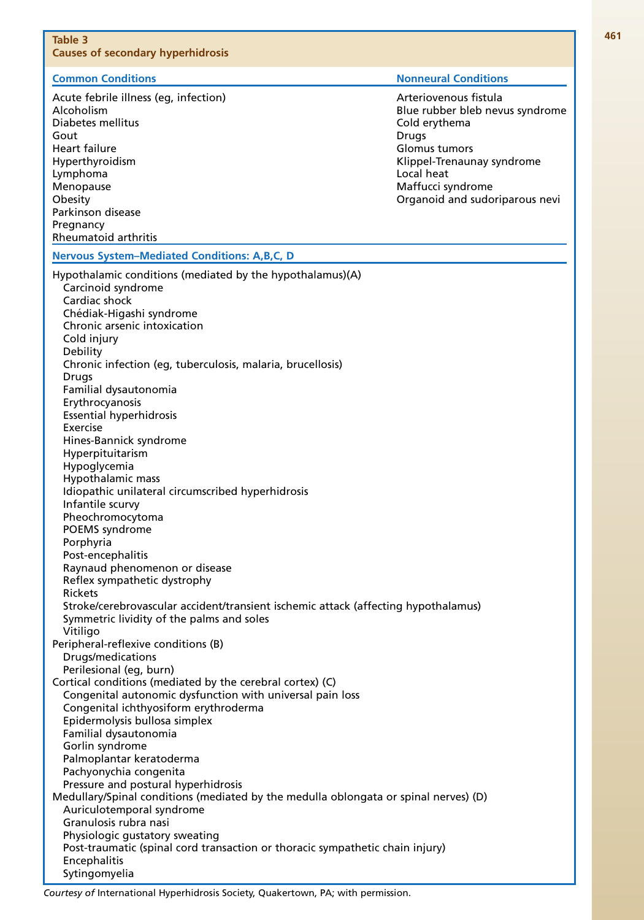<span id="page-4-0"></span>

| Table 3<br><b>Causes of secondary hyperhidrosis</b>                                                                                                                                                                                                                                                                                                                                                                                                                                                                                                                                                                                                                                                                                                                                                                                                                                                                                                                                                                                                                                                                                                                                                                                                                                                                                                                                     |                                                                                                                                                                                                        |
|-----------------------------------------------------------------------------------------------------------------------------------------------------------------------------------------------------------------------------------------------------------------------------------------------------------------------------------------------------------------------------------------------------------------------------------------------------------------------------------------------------------------------------------------------------------------------------------------------------------------------------------------------------------------------------------------------------------------------------------------------------------------------------------------------------------------------------------------------------------------------------------------------------------------------------------------------------------------------------------------------------------------------------------------------------------------------------------------------------------------------------------------------------------------------------------------------------------------------------------------------------------------------------------------------------------------------------------------------------------------------------------------|--------------------------------------------------------------------------------------------------------------------------------------------------------------------------------------------------------|
| <b>Common Conditions</b>                                                                                                                                                                                                                                                                                                                                                                                                                                                                                                                                                                                                                                                                                                                                                                                                                                                                                                                                                                                                                                                                                                                                                                                                                                                                                                                                                                | <b>Nonneural Conditions</b>                                                                                                                                                                            |
| Acute febrile illness (eg, infection)<br>Alcoholism<br>Diabetes mellitus<br>Gout<br>Heart failure<br>Hyperthyroidism<br>Lymphoma<br>Menopause<br>Obesity<br>Parkinson disease<br>Pregnancy                                                                                                                                                                                                                                                                                                                                                                                                                                                                                                                                                                                                                                                                                                                                                                                                                                                                                                                                                                                                                                                                                                                                                                                              | Arteriovenous fistula<br>Blue rubber bleb nevus syndrome<br>Cold erythema<br>Drugs<br>Glomus tumors<br>Klippel-Trenaunay syndrome<br>Local heat<br>Maffucci syndrome<br>Organoid and sudoriparous nevi |
| Rheumatoid arthritis                                                                                                                                                                                                                                                                                                                                                                                                                                                                                                                                                                                                                                                                                                                                                                                                                                                                                                                                                                                                                                                                                                                                                                                                                                                                                                                                                                    |                                                                                                                                                                                                        |
| <b>Nervous System-Mediated Conditions: A,B,C, D</b>                                                                                                                                                                                                                                                                                                                                                                                                                                                                                                                                                                                                                                                                                                                                                                                                                                                                                                                                                                                                                                                                                                                                                                                                                                                                                                                                     |                                                                                                                                                                                                        |
| Hypothalamic conditions (mediated by the hypothalamus)(A)<br>Carcinoid syndrome<br>Cardiac shock<br>Chédiak-Higashi syndrome<br>Chronic arsenic intoxication<br>Cold injury<br>Debility<br>Chronic infection (eg, tuberculosis, malaria, brucellosis)<br>Drugs<br>Familial dysautonomia<br>Erythrocyanosis<br><b>Essential hyperhidrosis</b><br>Exercise<br>Hines-Bannick syndrome<br>Hyperpituitarism<br>Hypoglycemia<br>Hypothalamic mass<br>Idiopathic unilateral circumscribed hyperhidrosis<br>Infantile scurvy<br>Pheochromocytoma<br>POEMS syndrome<br>Porphyria<br>Post-encephalitis<br>Raynaud phenomenon or disease<br>Reflex sympathetic dystrophy<br><b>Rickets</b><br>Stroke/cerebrovascular accident/transient ischemic attack (affecting hypothalamus)<br>Symmetric lividity of the palms and soles<br>Vitiligo<br>Peripheral-reflexive conditions (B)<br>Drugs/medications<br>Perilesional (eq, burn)<br>Cortical conditions (mediated by the cerebral cortex) (C)<br>Congenital autonomic dysfunction with universal pain loss<br>Congenital ichthyosiform erythroderma<br>Epidermolysis bullosa simplex<br>Familial dysautonomia<br>Gorlin syndrome<br>Palmoplantar keratoderma<br>Pachyonychia congenita<br>Pressure and postural hyperhidrosis<br>Medullary/Spinal conditions (mediated by the medulla oblongata or spinal nerves) (D)<br>Auriculotemporal syndrome |                                                                                                                                                                                                        |
| Granulosis rubra nasi<br>Physiologic gustatory sweating<br>Post-traumatic (spinal cord transaction or thoracic sympathetic chain injury)<br>Encephalitis<br>Sytingomyelia                                                                                                                                                                                                                                                                                                                                                                                                                                                                                                                                                                                                                                                                                                                                                                                                                                                                                                                                                                                                                                                                                                                                                                                                               |                                                                                                                                                                                                        |

Courtesy of International Hyperhidrosis Society, Quakertown, PA; with permission.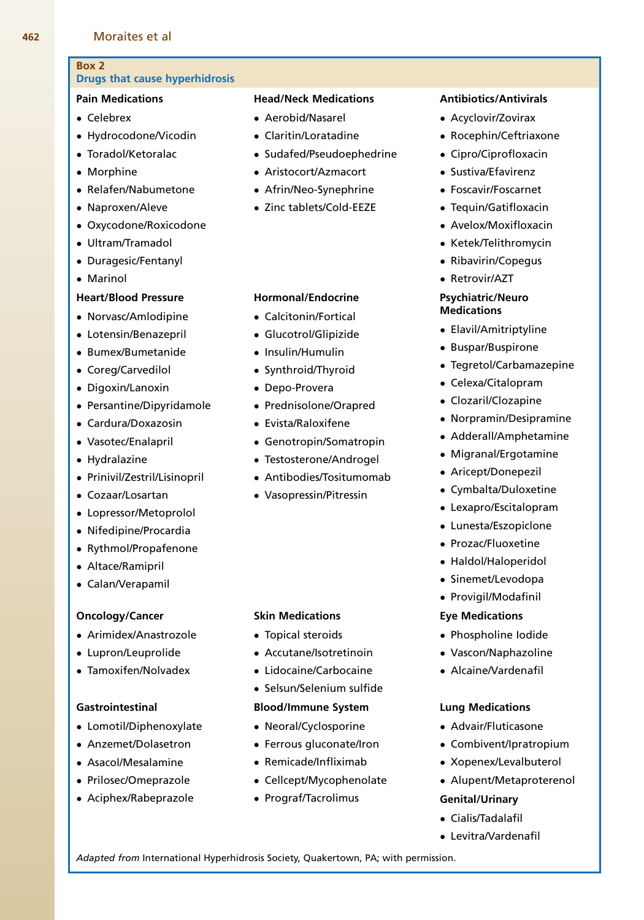# Drugs that cause hyperhidrosis

# Pain Medications

Celebrex

<span id="page-5-0"></span>Box 2

- Hydrocodone/Vicodin
- Toradol/Ketoralac
- Morphine
- Relafen/Nabumetone
- Naproxen/Aleve
- Oxycodone/Roxicodone
- Ultram/Tramadol
- Duragesic/Fentanyl
- Marinol

# Heart/Blood Pressure

- Norvasc/Amlodipine
- Lotensin/Benazepril
- Bumex/Bumetanide
- Coreg/Carvedilol
- Digoxin/Lanoxin
- Persantine/Dipyridamole
- Cardura/Doxazosin
- Vasotec/Enalapril
- Hydralazine
- Prinivil/Zestril/Lisinopril
- Cozaar/Losartan
- Lopressor/Metoprolol
- Nifedipine/Procardia
- Rythmol/Propafenone
- Altace/Ramipril
- Calan/Verapamil

#### Oncology/Cancer

- Arimidex/Anastrozole
- Lupron/Leuprolide
- Tamoxifen/Nolvadex

# Gastrointestinal

- Lomotil/Diphenoxylate
- Anzemet/Dolasetron
- Asacol/Mesalamine
- Prilosec/Omeprazole
- Aciphex/Rabeprazole

# Head/Neck Medications

- Aerobid/Nasarel
- Claritin/Loratadine
- Sudafed/Pseudoephedrine
- Aristocort/Azmacort
- Afrin/Neo-Synephrine
- Zinc tablets/Cold-EEZE

# Hormonal/Endocrine

- Calcitonin/Fortical
- Glucotrol/Glipizide
- Insulin/Humulin
- Synthroid/Thyroid
- Depo-Provera
- Prednisolone/Orapred
- Evista/Raloxifene
- Genotropin/Somatropin
- Testosterone/Androgel
- Antibodies/Tositumomab
- Vasopressin/Pitressin

# Skin Medications

- Topical steroids
- Accutane/Isotretinoin
- Lidocaine/Carbocaine
- Selsun/Selenium sulfide

#### Blood/Immune System

- Neoral/Cyclosporine
- Ferrous gluconate/Iron
- Remicade/Infliximab
- Cellcept/Mycophenolate
- Prograf/Tacrolimus

Adapted from International Hyperhidrosis Society, Quakertown, PA; with permission.

# Antibiotics/Antivirals

- Acyclovir/Zovirax
- Rocephin/Ceftriaxone
- Cipro/Ciprofloxacin
- Sustiva/Efavirenz
- Foscavir/Foscarnet
- Tequin/Gatifloxacin
- Avelox/Moxifloxacin
- Ketek/Telithromycin
- Ribavirin/Copegus
- Retrovir/AZT

### Psychiatric/Neuro **Medications**

- Elavil/Amitriptyline
- Buspar/Buspirone
- Tegretol/Carbamazepine
- Celexa/Citalopram
- Clozaril/Clozapine
- Norpramin/Desipramine
- Adderall/Amphetamine
- Migranal/Ergotamine
- Aricept/Donepezil
- Cymbalta/Duloxetine
- Lexapro/Escitalopram
- Lunesta/Eszopiclone
- Prozac/Fluoxetine
- Haldol/Haloperidol
- Sinemet/Levodopa
- Provigil/Modafinil

# Eye Medications

 Phospholine Iodide Vascon/Naphazoline

Alcaine/Vardenafil

Lung Medications Advair/Fluticasone Combivent/Ipratropium Xopenex/Levalbuterol Alupent/Metaproterenol

Genital/Urinary Cialis/Tadalafil Levitra/Vardenafil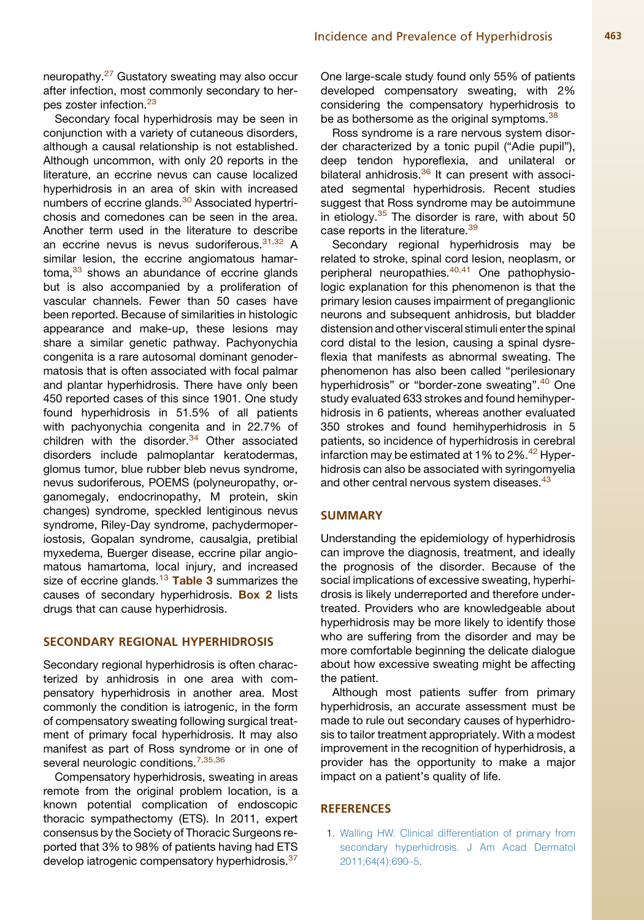<span id="page-6-0"></span>neuropathy.<sup>[27](#page-7-0)</sup> Gustatory sweating may also occur after infection, most commonly secondary to her-pes zoster infection.<sup>[23](#page-7-0)</sup>

Secondary focal hyperhidrosis may be seen in conjunction with a variety of cutaneous disorders, although a causal relationship is not established. Although uncommon, with only 20 reports in the literature, an eccrine nevus can cause localized hyperhidrosis in an area of skin with increased numbers of eccrine glands.<sup>[30](#page-7-0)</sup> Associated hypertrichosis and comedones can be seen in the area. Another term used in the literature to describe an eccrine nevus is nevus sudoriferous.<sup>[31,32](#page-7-0)</sup> A similar lesion, the eccrine angiomatous hamar-toma.<sup>[33](#page-7-0)</sup> shows an abundance of eccrine glands but is also accompanied by a proliferation of vascular channels. Fewer than 50 cases have been reported. Because of similarities in histologic appearance and make-up, these lesions may share a similar genetic pathway. Pachyonychia congenita is a rare autosomal dominant genodermatosis that is often associated with focal palmar and plantar hyperhidrosis. There have only been 450 reported cases of this since 1901. One study found hyperhidrosis in 51.5% of all patients with pachyonychia congenita and in 22.7% of children with the disorder. $34$  Other associated disorders include palmoplantar keratodermas, glomus tumor, blue rubber bleb nevus syndrome, nevus sudoriferous, POEMS (polyneuropathy, organomegaly, endocrinopathy, M protein, skin changes) syndrome, speckled lentiginous nevus syndrome, Riley-Day syndrome, pachydermoperiostosis, Gopalan syndrome, causalgia, pretibial myxedema, Buerger disease, eccrine pilar angiomatous hamartoma, local injury, and increased size of eccrine glands.<sup>[13](#page-7-0)</sup> [Table 3](#page-4-0) summarizes the causes of secondary hyperhidrosis. [Box 2](#page-5-0) lists drugs that can cause hyperhidrosis.

#### SECONDARY REGIONAL HYPERHIDROSIS

Secondary regional hyperhidrosis is often characterized by anhidrosis in one area with compensatory hyperhidrosis in another area. Most commonly the condition is iatrogenic, in the form of compensatory sweating following surgical treatment of primary focal hyperhidrosis. It may also manifest as part of Ross syndrome or in one of several neurologic conditions.<sup>[7,35,36](#page-7-0)</sup>

Compensatory hyperhidrosis, sweating in areas remote from the original problem location, is a known potential complication of endoscopic thoracic sympathectomy (ETS). In 2011, expert consensus by the Society of Thoracic Surgeons reported that 3% to 98% of patients having had ETS develop iatrogenic compensatory hyperhidrosis.<sup>[37](#page-8-0)</sup>

One large-scale study found only 55% of patients developed compensatory sweating, with 2% considering the compensatory hyperhidrosis to be as bothersome as the original symptoms.<sup>[38](#page-8-0)</sup>

Ross syndrome is a rare nervous system disorder characterized by a tonic pupil ("Adie pupil"), deep tendon hyporeflexia, and unilateral or bilateral anhidrosis. $36$  It can present with associated segmental hyperhidrosis. Recent studies suggest that Ross syndrome may be autoimmune in etiology. $35$  The disorder is rare, with about 50 case reports in the literature.<sup>[39](#page-8-0)</sup>

Secondary regional hyperhidrosis may be related to stroke, spinal cord lesion, neoplasm, or peripheral neuropathies.<sup>[40,41](#page-8-0)</sup> One pathophysiologic explanation for this phenomenon is that the primary lesion causes impairment of preganglionic neurons and subsequent anhidrosis, but bladder distension and other visceral stimuli enter the spinal cord distal to the lesion, causing a spinal dysreflexia that manifests as abnormal sweating. The phenomenon has also been called "perilesionary hyperhidrosis" or "border-zone sweating".<sup>[40](#page-8-0)</sup> One study evaluated 633 strokes and found hemihyperhidrosis in 6 patients, whereas another evaluated 350 strokes and found hemihyperhidrosis in 5 patients, so incidence of hyperhidrosis in cerebral infarction may be estimated at 1% to 2%. $42$  Hyperhidrosis can also be associated with syringomyelia and other central nervous system diseases.<sup>[43](#page-8-0)</sup>

## SUMMARY

Understanding the epidemiology of hyperhidrosis can improve the diagnosis, treatment, and ideally the prognosis of the disorder. Because of the social implications of excessive sweating, hyperhidrosis is likely underreported and therefore undertreated. Providers who are knowledgeable about hyperhidrosis may be more likely to identify those who are suffering from the disorder and may be more comfortable beginning the delicate dialogue about how excessive sweating might be affecting the patient.

Although most patients suffer from primary hyperhidrosis, an accurate assessment must be made to rule out secondary causes of hyperhidrosis to tailor treatment appropriately. With a modest improvement in the recognition of hyperhidrosis, a provider has the opportunity to make a major impact on a patient's quality of life.

# **REFERENCES**

1. [Walling HW. Clinical differentiation of primary from](http://refhub.elsevier.com/S0733-8635(14)00073-4/sref1) [secondary hyperhidrosis. J Am Acad Dermatol](http://refhub.elsevier.com/S0733-8635(14)00073-4/sref1) [2011;64\(4\):690–5](http://refhub.elsevier.com/S0733-8635(14)00073-4/sref1).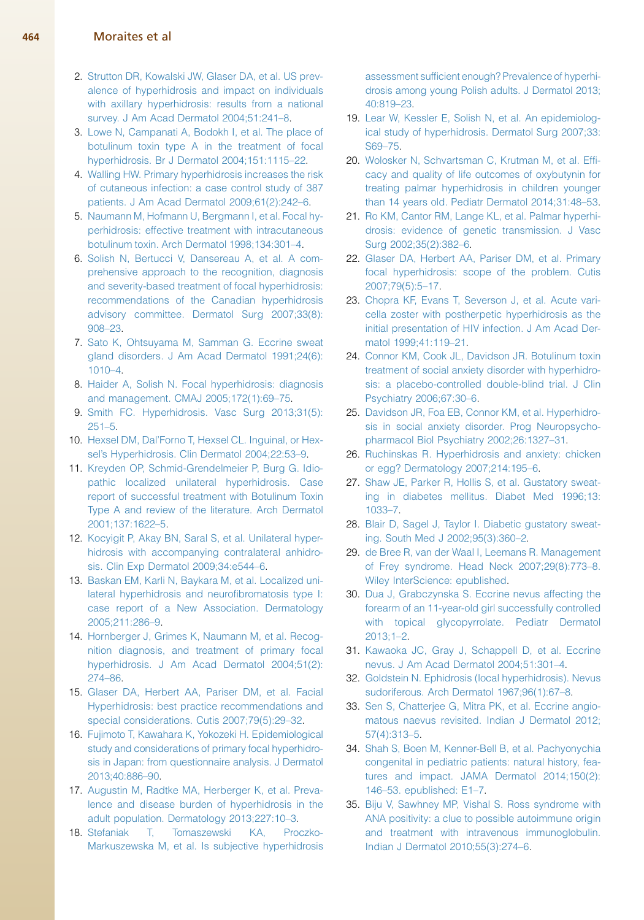#### <span id="page-7-0"></span>464 Moraites et al

- 2. [Strutton DR, Kowalski JW, Glaser DA, et al. US prev](http://refhub.elsevier.com/S0733-8635(14)00073-4/sref2)[alence of hyperhidrosis and impact on individuals](http://refhub.elsevier.com/S0733-8635(14)00073-4/sref2) [with axillary hyperhidrosis: results from a national](http://refhub.elsevier.com/S0733-8635(14)00073-4/sref2) [survey. J Am Acad Dermatol 2004;51:241–8](http://refhub.elsevier.com/S0733-8635(14)00073-4/sref2).
- 3. [Lowe N, Campanati A, Bodokh I, et al. The place of](http://refhub.elsevier.com/S0733-8635(14)00073-4/sref3) [botulinum toxin type A in the treatment of focal](http://refhub.elsevier.com/S0733-8635(14)00073-4/sref3) [hyperhidrosis. Br J Dermatol 2004;151:1115–22](http://refhub.elsevier.com/S0733-8635(14)00073-4/sref3).
- 4. [Walling HW. Primary hyperhidrosis increases the risk](http://refhub.elsevier.com/S0733-8635(14)00073-4/sref4) [of cutaneous infection: a case control study of 387](http://refhub.elsevier.com/S0733-8635(14)00073-4/sref4) [patients. J Am Acad Dermatol 2009;61\(2\):242–6.](http://refhub.elsevier.com/S0733-8635(14)00073-4/sref4)
- 5. [Naumann M, Hofmann U, Bergmann I, et al. Focal hy](http://refhub.elsevier.com/S0733-8635(14)00073-4/sref5)[perhidrosis: effective treatment with intracutaneous](http://refhub.elsevier.com/S0733-8635(14)00073-4/sref5) [botulinum toxin. Arch Dermatol 1998;134:301–4.](http://refhub.elsevier.com/S0733-8635(14)00073-4/sref5)
- 6. [Solish N, Bertucci V, Dansereau A, et al. A com](http://refhub.elsevier.com/S0733-8635(14)00073-4/sref6)[prehensive approach to the recognition, diagnosis](http://refhub.elsevier.com/S0733-8635(14)00073-4/sref6) [and severity-based treatment of focal hyperhidrosis:](http://refhub.elsevier.com/S0733-8635(14)00073-4/sref6) [recommendations of the Canadian hyperhidrosis](http://refhub.elsevier.com/S0733-8635(14)00073-4/sref6) [advisory committee. Dermatol Surg 2007;33\(8\):](http://refhub.elsevier.com/S0733-8635(14)00073-4/sref6) [908–23.](http://refhub.elsevier.com/S0733-8635(14)00073-4/sref6)
- 7. [Sato K, Ohtsuyama M, Samman G. Eccrine sweat](http://refhub.elsevier.com/S0733-8635(14)00073-4/sref7) [gland disorders. J Am Acad Dermatol 1991;24\(6\):](http://refhub.elsevier.com/S0733-8635(14)00073-4/sref7) [1010–4.](http://refhub.elsevier.com/S0733-8635(14)00073-4/sref7)
- 8. [Haider A, Solish N. Focal hyperhidrosis: diagnosis](http://refhub.elsevier.com/S0733-8635(14)00073-4/sref8) [and management. CMAJ 2005;172\(1\):69–75](http://refhub.elsevier.com/S0733-8635(14)00073-4/sref8).
- 9. [Smith FC. Hyperhidrosis. Vasc Surg 2013;31\(5\):](http://refhub.elsevier.com/S0733-8635(14)00073-4/sref9) [251–5](http://refhub.elsevier.com/S0733-8635(14)00073-4/sref9).
- 10. [Hexsel DM, Dal'Forno T, Hexsel CL. Inguinal, or Hex](http://refhub.elsevier.com/S0733-8635(14)00073-4/sref10)[sel's Hyperhidrosis. Clin Dermatol 2004;22:53–9.](http://refhub.elsevier.com/S0733-8635(14)00073-4/sref10)
- 11. [Kreyden OP, Schmid-Grendelmeier P, Burg G. Idio](http://refhub.elsevier.com/S0733-8635(14)00073-4/sref11)[pathic localized unilateral hyperhidrosis. Case](http://refhub.elsevier.com/S0733-8635(14)00073-4/sref11) [report of successful treatment with Botulinum Toxin](http://refhub.elsevier.com/S0733-8635(14)00073-4/sref11) [Type A and review of the literature. Arch Dermatol](http://refhub.elsevier.com/S0733-8635(14)00073-4/sref11) [2001;137:1622–5.](http://refhub.elsevier.com/S0733-8635(14)00073-4/sref11)
- 12. [Kocyigit P, Akay BN, Saral S, et al. Unilateral hyper](http://refhub.elsevier.com/S0733-8635(14)00073-4/sref12)[hidrosis with accompanying contralateral anhidro](http://refhub.elsevier.com/S0733-8635(14)00073-4/sref12)[sis. Clin Exp Dermatol 2009;34:e544–6](http://refhub.elsevier.com/S0733-8635(14)00073-4/sref12).
- 13. [Baskan EM, Karli N, Baykara M, et al. Localized uni](http://refhub.elsevier.com/S0733-8635(14)00073-4/sref13)[lateral hyperhidrosis and neurofibromatosis type I:](http://refhub.elsevier.com/S0733-8635(14)00073-4/sref13) [case report of a New Association. Dermatology](http://refhub.elsevier.com/S0733-8635(14)00073-4/sref13) [2005;211:286–9](http://refhub.elsevier.com/S0733-8635(14)00073-4/sref13).
- 14. [Hornberger J, Grimes K, Naumann M, et al. Recog](http://refhub.elsevier.com/S0733-8635(14)00073-4/sref14)[nition diagnosis, and treatment of primary focal](http://refhub.elsevier.com/S0733-8635(14)00073-4/sref14) [hyperhidrosis. J Am Acad Dermatol 2004;51\(2\):](http://refhub.elsevier.com/S0733-8635(14)00073-4/sref14) [274–86.](http://refhub.elsevier.com/S0733-8635(14)00073-4/sref14)
- 15. [Glaser DA, Herbert AA, Pariser DM, et al. Facial](http://refhub.elsevier.com/S0733-8635(14)00073-4/sref15) [Hyperhidrosis: best practice recommendations and](http://refhub.elsevier.com/S0733-8635(14)00073-4/sref15) [special considerations. Cutis 2007;79\(5\):29–32](http://refhub.elsevier.com/S0733-8635(14)00073-4/sref15).
- 16. [Fujimoto T, Kawahara K, Yokozeki H. Epidemiological](http://refhub.elsevier.com/S0733-8635(14)00073-4/sref16) [study and considerations of primary focal hyperhidro](http://refhub.elsevier.com/S0733-8635(14)00073-4/sref16)[sis in Japan: from questionnaire analysis. J Dermatol](http://refhub.elsevier.com/S0733-8635(14)00073-4/sref16) [2013;40:886–90](http://refhub.elsevier.com/S0733-8635(14)00073-4/sref16).
- 17. [Augustin M, Radtke MA, Herberger K, et al. Preva](http://refhub.elsevier.com/S0733-8635(14)00073-4/sref17)[lence and disease burden of hyperhidrosis in the](http://refhub.elsevier.com/S0733-8635(14)00073-4/sref17) [adult population. Dermatology 2013;227:10–3.](http://refhub.elsevier.com/S0733-8635(14)00073-4/sref17)
- 18. [Stefaniak T, Tomaszewski KA, Proczko-](http://refhub.elsevier.com/S0733-8635(14)00073-4/sref18)[Markuszewska M, et al. Is subjective hyperhidrosis](http://refhub.elsevier.com/S0733-8635(14)00073-4/sref18)

[assessment sufficient enough? Prevalence of hyperhi](http://refhub.elsevier.com/S0733-8635(14)00073-4/sref18)[drosis among young Polish adults. J Dermatol 2013;](http://refhub.elsevier.com/S0733-8635(14)00073-4/sref18) [40:819–23](http://refhub.elsevier.com/S0733-8635(14)00073-4/sref18).

- 19. [Lear W, Kessler E, Solish N, et al. An epidemiolog](http://refhub.elsevier.com/S0733-8635(14)00073-4/sref19)[ical study of hyperhidrosis. Dermatol Surg 2007;33:](http://refhub.elsevier.com/S0733-8635(14)00073-4/sref19) [S69–75](http://refhub.elsevier.com/S0733-8635(14)00073-4/sref19).
- 20. [Wolosker N, Schvartsman C, Krutman M, et al. Effi](http://refhub.elsevier.com/S0733-8635(14)00073-4/sref20)[cacy and quality of life outcomes of oxybutynin for](http://refhub.elsevier.com/S0733-8635(14)00073-4/sref20) [treating palmar hyperhidrosis in children younger](http://refhub.elsevier.com/S0733-8635(14)00073-4/sref20) [than 14 years old. Pediatr Dermatol 2014;31:48–53.](http://refhub.elsevier.com/S0733-8635(14)00073-4/sref20)
- 21. [Ro KM, Cantor RM, Lange KL, et al. Palmar hyperhi](http://refhub.elsevier.com/S0733-8635(14)00073-4/sref21)[drosis: evidence of genetic transmission. J Vasc](http://refhub.elsevier.com/S0733-8635(14)00073-4/sref21) [Surg 2002;35\(2\):382–6](http://refhub.elsevier.com/S0733-8635(14)00073-4/sref21).
- 22. [Glaser DA, Herbert AA, Pariser DM, et al. Primary](http://refhub.elsevier.com/S0733-8635(14)00073-4/sref22) [focal hyperhidrosis: scope of the problem. Cutis](http://refhub.elsevier.com/S0733-8635(14)00073-4/sref22) [2007;79\(5\):5–17.](http://refhub.elsevier.com/S0733-8635(14)00073-4/sref22)
- 23. [Chopra KF, Evans T, Severson J, et al. Acute vari](http://refhub.elsevier.com/S0733-8635(14)00073-4/sref23)[cella zoster with postherpetic hyperhidrosis as the](http://refhub.elsevier.com/S0733-8635(14)00073-4/sref23) [initial presentation of HIV infection. J Am Acad Der](http://refhub.elsevier.com/S0733-8635(14)00073-4/sref23)[matol 1999;41:119–21.](http://refhub.elsevier.com/S0733-8635(14)00073-4/sref23)
- 24. [Connor KM, Cook JL, Davidson JR. Botulinum toxin](http://refhub.elsevier.com/S0733-8635(14)00073-4/sref24) [treatment of social anxiety disorder with hyperhidro](http://refhub.elsevier.com/S0733-8635(14)00073-4/sref24)[sis: a placebo-controlled double-blind trial. J Clin](http://refhub.elsevier.com/S0733-8635(14)00073-4/sref24) [Psychiatry 2006;67:30–6](http://refhub.elsevier.com/S0733-8635(14)00073-4/sref24).
- 25. [Davidson JR, Foa EB, Connor KM, et al. Hyperhidro](http://refhub.elsevier.com/S0733-8635(14)00073-4/sref25)[sis in social anxiety disorder. Prog Neuropsycho](http://refhub.elsevier.com/S0733-8635(14)00073-4/sref25)[pharmacol Biol Psychiatry 2002;26:1327–31.](http://refhub.elsevier.com/S0733-8635(14)00073-4/sref25)
- 26. [Ruchinskas R. Hyperhidrosis and anxiety: chicken](http://refhub.elsevier.com/S0733-8635(14)00073-4/sref26) [or egg? Dermatology 2007;214:195–6](http://refhub.elsevier.com/S0733-8635(14)00073-4/sref26).
- 27. [Shaw JE, Parker R, Hollis S, et al. Gustatory sweat](http://refhub.elsevier.com/S0733-8635(14)00073-4/sref27)[ing in diabetes mellitus. Diabet Med 1996;13:](http://refhub.elsevier.com/S0733-8635(14)00073-4/sref27) [1033–7.](http://refhub.elsevier.com/S0733-8635(14)00073-4/sref27)
- 28. [Blair D, Sagel J, Taylor I. Diabetic gustatory sweat](http://refhub.elsevier.com/S0733-8635(14)00073-4/sref28)[ing. South Med J 2002;95\(3\):360–2.](http://refhub.elsevier.com/S0733-8635(14)00073-4/sref28)
- 29. [de Bree R, van der Waal I, Leemans R. Management](http://refhub.elsevier.com/S0733-8635(14)00073-4/sref29) [of Frey syndrome. Head Neck 2007;29\(8\):773–8.](http://refhub.elsevier.com/S0733-8635(14)00073-4/sref29) [Wiley InterScience: epublished](http://refhub.elsevier.com/S0733-8635(14)00073-4/sref29).
- 30. [Dua J, Grabczynska S. Eccrine nevus affecting the](http://refhub.elsevier.com/S0733-8635(14)00073-4/sref30) [forearm of an 11-year-old girl successfully controlled](http://refhub.elsevier.com/S0733-8635(14)00073-4/sref30) [with topical glycopyrrolate. Pediatr Dermatol](http://refhub.elsevier.com/S0733-8635(14)00073-4/sref30) [2013;1–2](http://refhub.elsevier.com/S0733-8635(14)00073-4/sref30).
- 31. [Kawaoka JC, Gray J, Schappell D, et al. Eccrine](http://refhub.elsevier.com/S0733-8635(14)00073-4/sref31) [nevus. J Am Acad Dermatol 2004;51:301–4.](http://refhub.elsevier.com/S0733-8635(14)00073-4/sref31)
- 32. [Goldstein N. Ephidrosis \(local hyperhidrosis\). Nevus](http://refhub.elsevier.com/S0733-8635(14)00073-4/sref32) [sudoriferous. Arch Dermatol 1967;96\(1\):67–8.](http://refhub.elsevier.com/S0733-8635(14)00073-4/sref32)
- 33. [Sen S, Chatterjee G, Mitra PK, et al. Eccrine angio](http://refhub.elsevier.com/S0733-8635(14)00073-4/sref33)[matous naevus revisited. Indian J Dermatol 2012;](http://refhub.elsevier.com/S0733-8635(14)00073-4/sref33) [57\(4\):313–5](http://refhub.elsevier.com/S0733-8635(14)00073-4/sref33).
- 34. [Shah S, Boen M, Kenner-Bell B, et al. Pachyonychia](http://refhub.elsevier.com/S0733-8635(14)00073-4/sref34) [congenital in pediatric patients: natural history, fea](http://refhub.elsevier.com/S0733-8635(14)00073-4/sref34)[tures and impact. JAMA Dermatol 2014;150\(2\):](http://refhub.elsevier.com/S0733-8635(14)00073-4/sref34) [146–53. epublished: E1–7.](http://refhub.elsevier.com/S0733-8635(14)00073-4/sref34)
- 35. [Biju V, Sawhney MP, Vishal S. Ross syndrome with](http://refhub.elsevier.com/S0733-8635(14)00073-4/sref35) [ANA positivity: a clue to possible autoimmune origin](http://refhub.elsevier.com/S0733-8635(14)00073-4/sref35) [and treatment with intravenous immunoglobulin.](http://refhub.elsevier.com/S0733-8635(14)00073-4/sref35) [Indian J Dermatol 2010;55\(3\):274–6](http://refhub.elsevier.com/S0733-8635(14)00073-4/sref35).